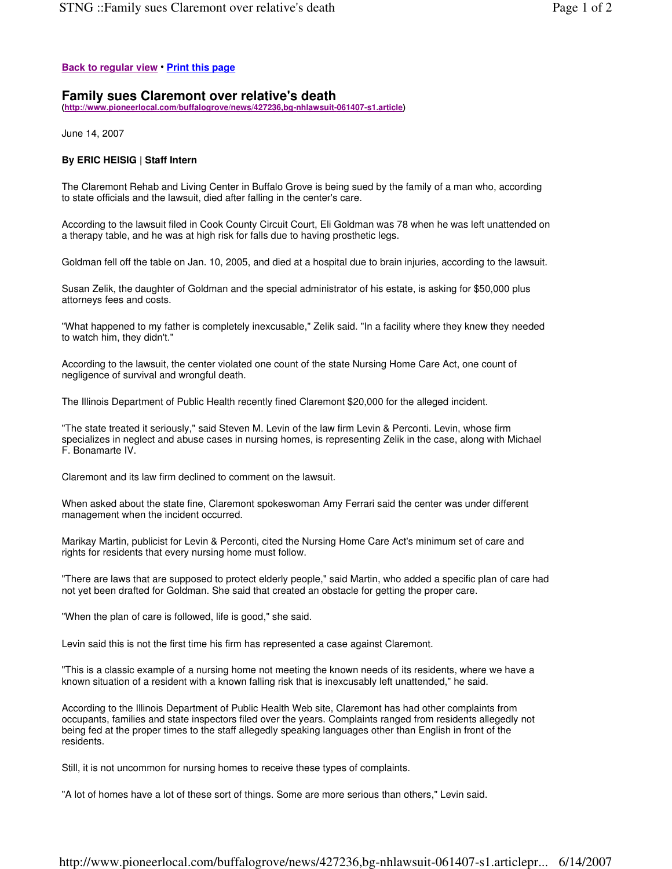## **Back to regular view** • **Print this page**

## **Family sues Claremont over relative's death**

**(http://www.pioneerlocal.com/buffalogrove/news/427236,bg-nhlawsuit-061407-s1.article)**

June 14, 2007

## **By ERIC HEISIG | Staff Intern**

The Claremont Rehab and Living Center in Buffalo Grove is being sued by the family of a man who, according to state officials and the lawsuit, died after falling in the center's care.

According to the lawsuit filed in Cook County Circuit Court, Eli Goldman was 78 when he was left unattended on a therapy table, and he was at high risk for falls due to having prosthetic legs.

Goldman fell off the table on Jan. 10, 2005, and died at a hospital due to brain injuries, according to the lawsuit.

Susan Zelik, the daughter of Goldman and the special administrator of his estate, is asking for \$50,000 plus attorneys fees and costs.

"What happened to my father is completely inexcusable," Zelik said. "In a facility where they knew they needed to watch him, they didn't."

According to the lawsuit, the center violated one count of the state Nursing Home Care Act, one count of negligence of survival and wrongful death.

The Illinois Department of Public Health recently fined Claremont \$20,000 for the alleged incident.

"The state treated it seriously," said Steven M. Levin of the law firm Levin & Perconti. Levin, whose firm specializes in neglect and abuse cases in nursing homes, is representing Zelik in the case, along with Michael F. Bonamarte IV.

Claremont and its law firm declined to comment on the lawsuit.

When asked about the state fine, Claremont spokeswoman Amy Ferrari said the center was under different management when the incident occurred.

Marikay Martin, publicist for Levin & Perconti, cited the Nursing Home Care Act's minimum set of care and rights for residents that every nursing home must follow.

"There are laws that are supposed to protect elderly people," said Martin, who added a specific plan of care had not yet been drafted for Goldman. She said that created an obstacle for getting the proper care.

"When the plan of care is followed, life is good," she said.

Levin said this is not the first time his firm has represented a case against Claremont.

"This is a classic example of a nursing home not meeting the known needs of its residents, where we have a known situation of a resident with a known falling risk that is inexcusably left unattended," he said.

According to the Illinois Department of Public Health Web site, Claremont has had other complaints from occupants, families and state inspectors filed over the years. Complaints ranged from residents allegedly not being fed at the proper times to the staff allegedly speaking languages other than English in front of the residents.

Still, it is not uncommon for nursing homes to receive these types of complaints.

"A lot of homes have a lot of these sort of things. Some are more serious than others," Levin said.